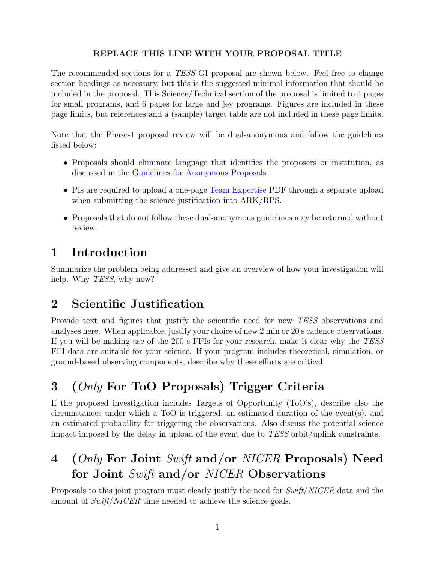#### REPLACE THIS LINE WITH YOUR PROPOSAL TITLE

The recommended sections for a TESS GI proposal are shown below. Feel free to change section headings as necessary, but this is the suggested minimal information that should be included in the proposal. This Science/Technical section of the proposal is limited to 4 pages for small programs, and 6 pages for large and jey programs. Figures are included in these page limits, but references and a (sample) target table are not included in these page limits.

Note that the Phase-1 proposal review will be dual-anonymous and follow the guidelines listed below:

- Proposals should eliminate language that identifies the proposers or institution, as discussed in the [Guidelines for Anonymous Proposals.](https://science.nasa.gov/researchers/dual-anonymous-peer-review)
- PIs are required to upload a one-page [Team Expertise](https://heasarc.gsfc.nasa.gov/docs/tess/docs/proposal-templates/tessgi_teamexpertise_template_cycle5.pdf) PDF through a separate upload when submitting the science justification into ARK/RPS.
- Proposals that do not follow these dual-anonymous guidelines may be returned without review.

## 1 Introduction

Summarize the problem being addressed and give an overview of how your investigation will help. Why *TESS*, why now?

### 2 Scientific Justification

Provide text and figures that justify the scientific need for new TESS observations and analyses here. When applicable, justify your choice of new 2 min or 20 s cadence observations. If you will be making use of the 200 s FFIs for your research, make it clear why the TESS FFI data are suitable for your science. If your program includes theoretical, simulation, or ground-based observing components, describe why these efforts are critical.

# 3 (Only For ToO Proposals) Trigger Criteria

If the proposed investigation includes Targets of Opportunity (ToO's), describe also the circumstances under which a ToO is triggered, an estimated duration of the event(s), and an estimated probability for triggering the observations. Also discuss the potential science impact imposed by the delay in upload of the event due to TESS orbit/uplink constraints.

# 4 (*Only* For Joint Swift and/or NICER Proposals) Need for Joint Swift and/or NICER Observations

Proposals to this joint program must clearly justify the need for Swift/NICER data and the amount of Swift/NICER time needed to achieve the science goals.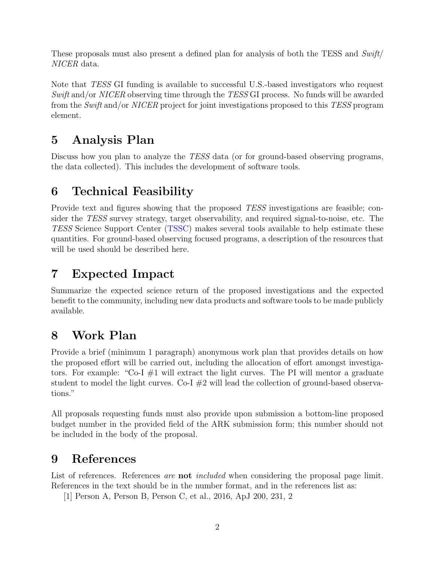These proposals must also present a defined plan for analysis of both the TESS and  $Swift/$ NICER data.

Note that TESS GI funding is available to successful U.S.-based investigators who request Swift and/or NICER observing time through the TESS GI process. No funds will be awarded from the Swift and/or NICER project for joint investigations proposed to this TESS program element.

#### 5 Analysis Plan

Discuss how you plan to analyze the *TESS* data (or for ground-based observing programs, the data collected). This includes the development of software tools.

### 6 Technical Feasibility

Provide text and figures showing that the proposed TESS investigations are feasible; consider the TESS survey strategy, target observability, and required signal-to-noise, etc. The TESS Science Support Center [\(TSSC\)](https://heasarc.gsfc.nasa.gov/docs/tess/) makes several tools available to help estimate these quantities. For ground-based observing focused programs, a description of the resources that will be used should be described here.

## 7 Expected Impact

Summarize the expected science return of the proposed investigations and the expected benefit to the community, including new data products and software tools to be made publicly available.

### 8 Work Plan

Provide a brief (minimum 1 paragraph) anonymous work plan that provides details on how the proposed effort will be carried out, including the allocation of effort amongst investigators. For example: "Co-I  $\#1$  will extract the light curves. The PI will mentor a graduate student to model the light curves. Co-I  $\#2$  will lead the collection of ground-based observations."

All proposals requesting funds must also provide upon submission a bottom-line proposed budget number in the provided field of the ARK submission form; this number should not be included in the body of the proposal.

#### 9 References

List of references. References are **not** included when considering the proposal page limit. References in the text should be in the number format, and in the references list as:

[1] Person A, Person B, Person C, et al., 2016, ApJ 200, 231, 2